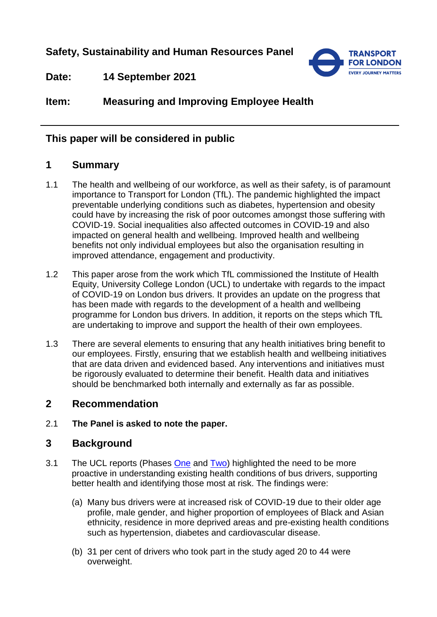**Safety, Sustainability and Human Resources Panel**



**Date: 14 September 2021**

**Item: Measuring and Improving Employee Health**

## **This paper will be considered in public**

## **1 Summary**

- 1.1 The health and wellbeing of our workforce, as well as their safety, is of paramount importance to Transport for London (TfL). The pandemic highlighted the impact preventable underlying conditions such as diabetes, hypertension and obesity could have by increasing the risk of poor outcomes amongst those suffering with COVID-19. Social inequalities also affected outcomes in COVID-19 and also impacted on general health and wellbeing. Improved health and wellbeing benefits not only individual employees but also the organisation resulting in improved attendance, engagement and productivity.
- 1.2 This paper arose from the work which TfL commissioned the Institute of Health Equity, University College London (UCL) to undertake with regards to the impact of COVID-19 on London bus drivers. It provides an update on the progress that has been made with regards to the development of a health and wellbeing programme for London bus drivers. In addition, it reports on the steps which TfL are undertaking to improve and support the health of their own employees.
- 1.3 There are several elements to ensuring that any health initiatives bring benefit to our employees. Firstly, ensuring that we establish health and wellbeing initiatives that are data driven and evidenced based. Any interventions and initiatives must be rigorously evaluated to determine their benefit. Health data and initiatives should be benchmarked both internally and externally as far as possible.

# **2 Recommendation**

2.1 **The Panel is asked to note the paper.**

## **3 Background**

- 3.1 The UCL reports (Phases [One](https://content.tfl.gov.uk/initial-assessment-of-london-bus-driver-mortality-from-covid-19.pdf) and [Two\)](https://content.tfl.gov.uk/phase-2-assessment-of-london-bus-driver-mortality-from-covid-19.pdf) highlighted the need to be more proactive in understanding existing health conditions of bus drivers, supporting better health and identifying those most at risk. The findings were:
	- (a) Many bus drivers were at increased risk of COVID-19 due to their older age profile, male gender, and higher proportion of employees of Black and Asian ethnicity, residence in more deprived areas and pre-existing health conditions such as hypertension, diabetes and cardiovascular disease.
	- (b) 31 per cent of drivers who took part in the study aged 20 to 44 were overweight.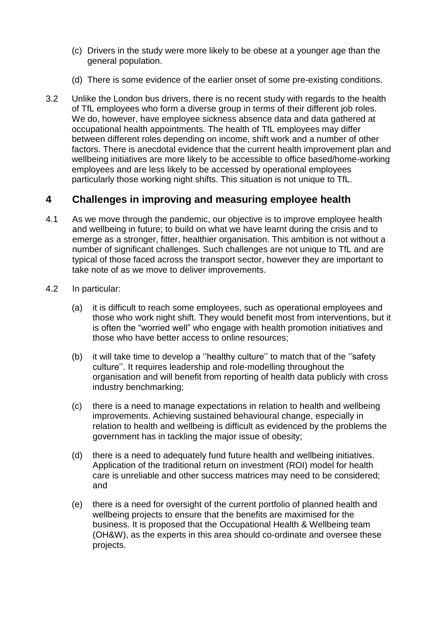- (c) Drivers in the study were more likely to be obese at a younger age than the general population.
- (d) There is some evidence of the earlier onset of some pre-existing conditions.
- 3.2 Unlike the London bus drivers, there is no recent study with regards to the health of TfL employees who form a diverse group in terms of their different job roles. We do, however, have employee sickness absence data and data gathered at occupational health appointments. The health of TfL employees may differ between different roles depending on income, shift work and a number of other factors. There is anecdotal evidence that the current health improvement plan and wellbeing initiatives are more likely to be accessible to office based/home-working employees and are less likely to be accessed by operational employees particularly those working night shifts. This situation is not unique to TfL.

## **4 Challenges in improving and measuring employee health**

- 4.1 As we move through the pandemic, our objective is to improve employee health and wellbeing in future; to build on what we have learnt during the crisis and to emerge as a stronger, fitter, healthier organisation. This ambition is not without a number of significant challenges. Such challenges are not unique to TfL and are typical of those faced across the transport sector, however they are important to take note of as we move to deliver improvements.
- 4.2 In particular:
	- (a) it is difficult to reach some employees, such as operational employees and those who work night shift. They would benefit most from interventions, but it is often the "worried well" who engage with health promotion initiatives and those who have better access to online resources;
	- (b) it will take time to develop a ''healthy culture'' to match that of the ''safety culture''. It requires leadership and role-modelling throughout the organisation and will benefit from reporting of health data publicly with cross industry benchmarking;
	- (c) there is a need to manage expectations in relation to health and wellbeing improvements. Achieving sustained behavioural change, especially in relation to health and wellbeing is difficult as evidenced by the problems the government has in tackling the major issue of obesity;
	- (d) there is a need to adequately fund future health and wellbeing initiatives. Application of the traditional return on investment (ROI) model for health care is unreliable and other success matrices may need to be considered; and
	- (e) there is a need for oversight of the current portfolio of planned health and wellbeing projects to ensure that the benefits are maximised for the business. It is proposed that the Occupational Health & Wellbeing team (OH&W), as the experts in this area should co-ordinate and oversee these projects.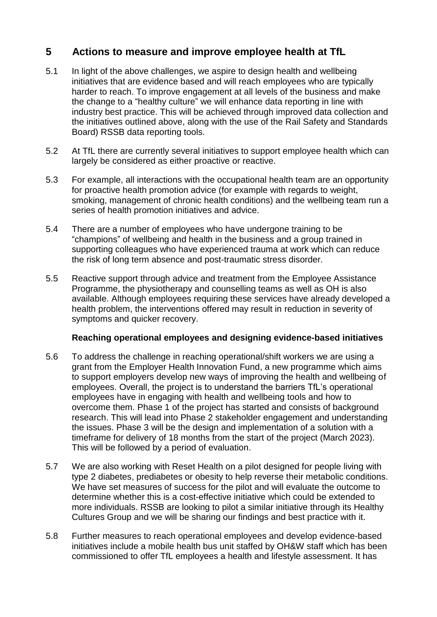### **5 Actions to measure and improve employee health at TfL**

- 5.1 In light of the above challenges, we aspire to design health and wellbeing initiatives that are evidence based and will reach employees who are typically harder to reach. To improve engagement at all levels of the business and make the change to a "healthy culture" we will enhance data reporting in line with industry best practice. This will be achieved through improved data collection and the initiatives outlined above, along with the use of the Rail Safety and Standards Board) RSSB data reporting tools.
- 5.2 At TfL there are currently several initiatives to support employee health which can largely be considered as either proactive or reactive.
- 5.3 For example, all interactions with the occupational health team are an opportunity for proactive health promotion advice (for example with regards to weight, smoking, management of chronic health conditions) and the wellbeing team run a series of health promotion initiatives and advice.
- 5.4 There are a number of employees who have undergone training to be "champions" of wellbeing and health in the business and a group trained in supporting colleagues who have experienced trauma at work which can reduce the risk of long term absence and post-traumatic stress disorder.
- 5.5 Reactive support through advice and treatment from the Employee Assistance Programme, the physiotherapy and counselling teams as well as OH is also available. Although employees requiring these services have already developed a health problem, the interventions offered may result in reduction in severity of symptoms and quicker recovery.

#### **Reaching operational employees and designing evidence-based initiatives**

- 5.6 To address the challenge in reaching operational/shift workers we are using a grant from the Employer Health Innovation Fund, a new programme which aims to support employers develop new ways of improving the health and wellbeing of employees. Overall, the project is to understand the barriers TfL's operational employees have in engaging with health and wellbeing tools and how to overcome them. Phase 1 of the project has started and consists of background research. This will lead into Phase 2 stakeholder engagement and understanding the issues. Phase 3 will be the design and implementation of a solution with a timeframe for delivery of 18 months from the start of the project (March 2023). This will be followed by a period of evaluation.
- 5.7 We are also working with Reset Health on a pilot designed for people living with type 2 diabetes, prediabetes or obesity to help reverse their metabolic conditions. We have set measures of success for the pilot and will evaluate the outcome to determine whether this is a cost-effective initiative which could be extended to more individuals. RSSB are looking to pilot a similar initiative through its Healthy Cultures Group and we will be sharing our findings and best practice with it.
- 5.8 Further measures to reach operational employees and develop evidence-based initiatives include a mobile health bus unit staffed by OH&W staff which has been commissioned to offer TfL employees a health and lifestyle assessment. It has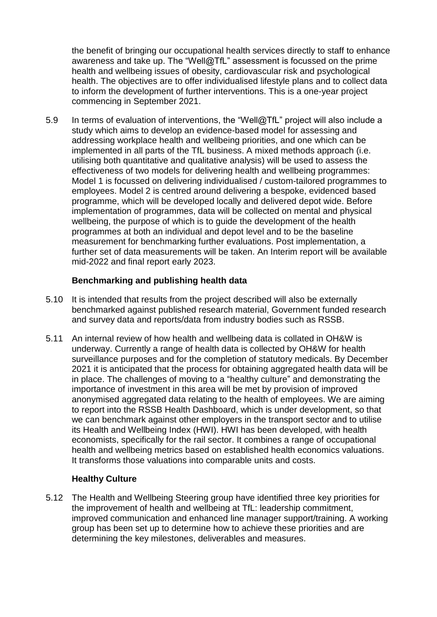the benefit of bringing our occupational health services directly to staff to enhance awareness and take up. The "Well@TfL" assessment is focussed on the prime health and wellbeing issues of obesity, cardiovascular risk and psychological health. The objectives are to offer individualised lifestyle plans and to collect data to inform the development of further interventions. This is a one-year project commencing in September 2021.

5.9 In terms of evaluation of interventions, the "Well@TfL" project will also include a study which aims to develop an evidence-based model for assessing and addressing workplace health and wellbeing priorities, and one which can be implemented in all parts of the TfL business. A mixed methods approach (i.e. utilising both quantitative and qualitative analysis) will be used to assess the effectiveness of two models for delivering health and wellbeing programmes: Model 1 is focussed on delivering individualised / custom-tailored programmes to employees. Model 2 is centred around delivering a bespoke, evidenced based programme, which will be developed locally and delivered depot wide. Before implementation of programmes, data will be collected on mental and physical wellbeing, the purpose of which is to guide the development of the health programmes at both an individual and depot level and to be the baseline measurement for benchmarking further evaluations. Post implementation, a further set of data measurements will be taken. An Interim report will be available mid-2022 and final report early 2023.

### **Benchmarking and publishing health data**

- 5.10 It is intended that results from the project described will also be externally benchmarked against published research material, Government funded research and survey data and reports/data from industry bodies such as RSSB.
- 5.11 An internal review of how health and wellbeing data is collated in OH&W is underway. Currently a range of health data is collected by OH&W for health surveillance purposes and for the completion of statutory medicals. By December 2021 it is anticipated that the process for obtaining aggregated health data will be in place. The challenges of moving to a "healthy culture" and demonstrating the importance of investment in this area will be met by provision of improved anonymised aggregated data relating to the health of employees. We are aiming to report into the RSSB Health Dashboard, which is under development, so that we can benchmark against other employers in the transport sector and to utilise its Health and Wellbeing Index (HWI). HWI has been developed, with health economists, specifically for the rail sector. It combines a range of occupational health and wellbeing metrics based on established health economics valuations. It transforms those valuations into comparable units and costs.

#### **Healthy Culture**

5.12 The Health and Wellbeing Steering group have identified three key priorities for the improvement of health and wellbeing at TfL: leadership commitment, improved communication and enhanced line manager support/training. A working group has been set up to determine how to achieve these priorities and are determining the key milestones, deliverables and measures.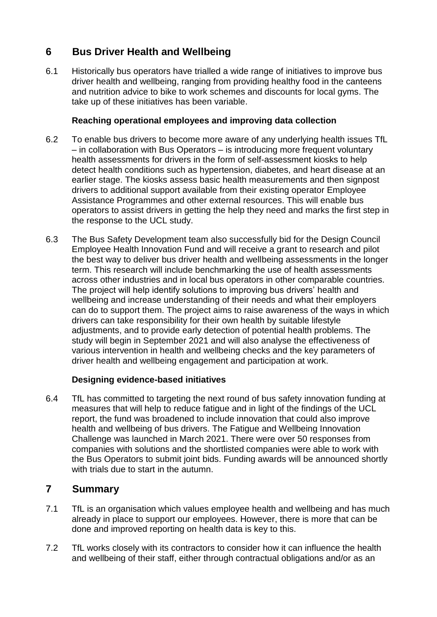# **6 Bus Driver Health and Wellbeing**

6.1 Historically bus operators have trialled a wide range of initiatives to improve bus driver health and wellbeing, ranging from providing healthy food in the canteens and nutrition advice to bike to work schemes and discounts for local gyms. The take up of these initiatives has been variable.

### **Reaching operational employees and improving data collection**

- 6.2 To enable bus drivers to become more aware of any underlying health issues TfL – in collaboration with Bus Operators – is introducing more frequent voluntary health assessments for drivers in the form of self-assessment kiosks to help detect health conditions such as hypertension, diabetes, and heart disease at an earlier stage. The kiosks assess basic health measurements and then signpost drivers to additional support available from their existing operator Employee Assistance Programmes and other external resources. This will enable bus operators to assist drivers in getting the help they need and marks the first step in the response to the UCL study.
- 6.3 The Bus Safety Development team also successfully bid for the Design Council Employee Health Innovation Fund and will receive a grant to research and pilot the best way to deliver bus driver health and wellbeing assessments in the longer term. This research will include benchmarking the use of health assessments across other industries and in local bus operators in other comparable countries. The project will help identify solutions to improving bus drivers' health and wellbeing and increase understanding of their needs and what their employers can do to support them. The project aims to raise awareness of the ways in which drivers can take responsibility for their own health by suitable lifestyle adjustments, and to provide early detection of potential health problems. The study will begin in September 2021 and will also analyse the effectiveness of various intervention in health and wellbeing checks and the key parameters of driver health and wellbeing engagement and participation at work.

### **Designing evidence-based initiatives**

6.4 TfL has committed to targeting the next round of bus safety innovation funding at measures that will help to reduce fatigue and in light of the findings of the UCL report, the fund was broadened to include innovation that could also improve health and wellbeing of bus drivers. The Fatigue and Wellbeing Innovation Challenge was launched in March 2021. There were over 50 responses from companies with solutions and the shortlisted companies were able to work with the Bus Operators to submit joint bids. Funding awards will be announced shortly with trials due to start in the autumn.

## **7 Summary**

- 7.1 TfL is an organisation which values employee health and wellbeing and has much already in place to support our employees. However, there is more that can be done and improved reporting on health data is key to this.
- 7.2 TfL works closely with its contractors to consider how it can influence the health and wellbeing of their staff, either through contractual obligations and/or as an